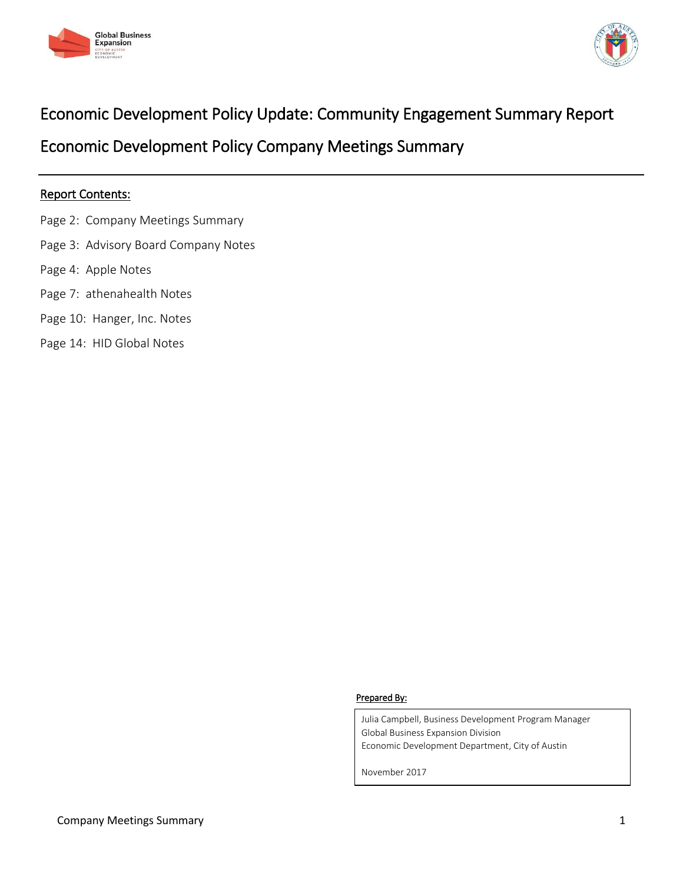



# Economic Development Policy Update: Community Engagement Summary Report

Economic Development Policy Company Meetings Summary

# Report Contents:

- Page 2: Company Meetings Summary
- Page 3: Advisory Board Company Notes
- Page 4: Apple Notes
- Page 7: athenahealth Notes
- Page 10: Hanger, Inc. Notes
- Page 14: HID Global Notes

## Prepared By:

Julia Campbell, Business Development Program Manager Global Business Expansion Division Economic Development Department, City of Austin

November 2017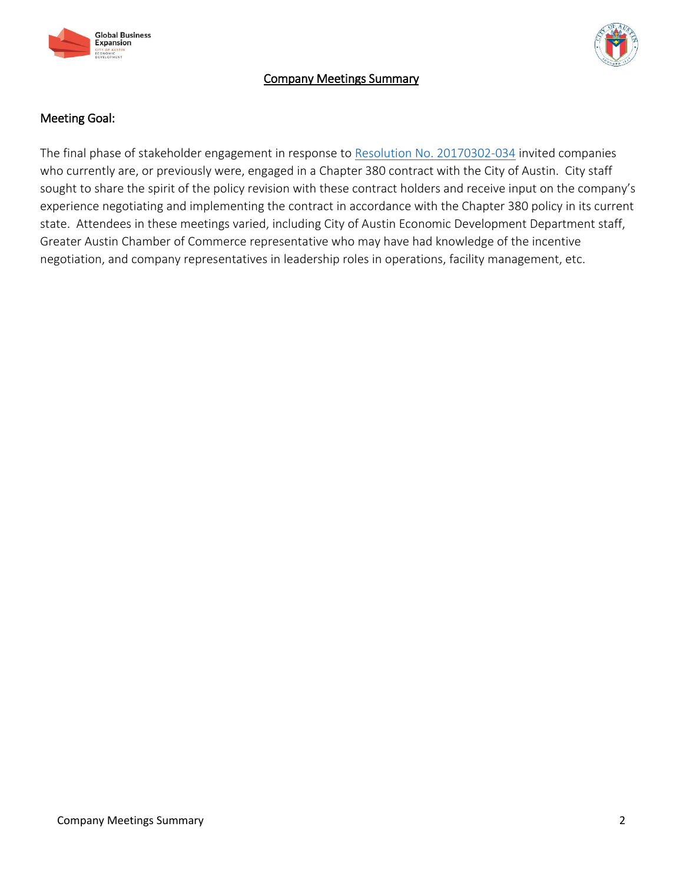



# Company Meetings Summary

# Meeting Goal:

The final phase of stakeholder engagement in response to [Resolution No. 20170302-034](http://www.austintexas.gov/edims/document.cfm?id=272895) invited companies who currently are, or previously were, engaged in a Chapter 380 contract with the City of Austin. City staff sought to share the spirit of the policy revision with these contract holders and receive input on the company's experience negotiating and implementing the contract in accordance with the Chapter 380 policy in its current state. Attendees in these meetings varied, including City of Austin Economic Development Department staff, Greater Austin Chamber of Commerce representative who may have had knowledge of the incentive negotiation, and company representatives in leadership roles in operations, facility management, etc.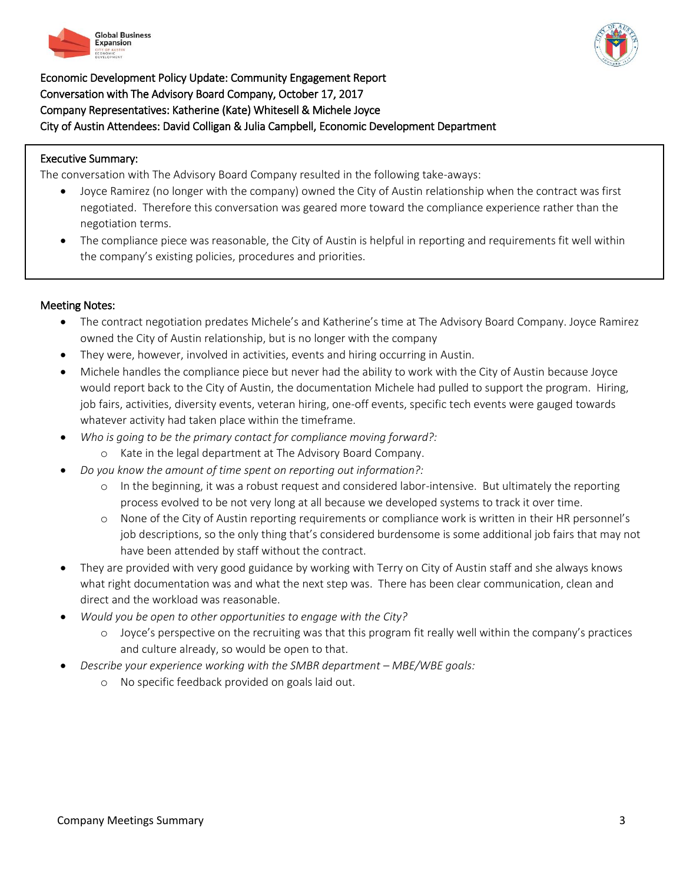



Economic Development Policy Update: Community Engagement Report Conversation with The Advisory Board Company, October 17, 2017 Company Representatives: Katherine (Kate) Whitesell & Michele Joyce City of Austin Attendees: David Colligan & Julia Campbell, Economic Development Department

# Executive Summary:

 $\overline{a}$ 

The conversation with The Advisory Board Company resulted in the following take-aways:

- Joyce Ramirez (no longer with the company) owned the City of Austin relationship when the contract was first negotiated. Therefore this conversation was geared more toward the compliance experience rather than the negotiation terms.
- The compliance piece was reasonable, the City of Austin is helpful in reporting and requirements fit well within the company's existing policies, procedures and priorities.

## Meeting Notes:

- The contract negotiation predates Michele's and Katherine's time at The Advisory Board Company. Joyce Ramirez owned the City of Austin relationship, but is no longer with the company
- They were, however, involved in activities, events and hiring occurring in Austin.
- Michele handles the compliance piece but never had the ability to work with the City of Austin because Joyce would report back to the City of Austin, the documentation Michele had pulled to support the program. Hiring, job fairs, activities, diversity events, veteran hiring, one-off events, specific tech events were gauged towards whatever activity had taken place within the timeframe.
- *Who is going to be the primary contact for compliance moving forward?:*
	- o Kate in the legal department at The Advisory Board Company.
- *Do you know the amount of time spent on reporting out information?:* 
	- o In the beginning, it was a robust request and considered labor-intensive. But ultimately the reporting process evolved to be not very long at all because we developed systems to track it over time.
	- o None of the City of Austin reporting requirements or compliance work is written in their HR personnel's job descriptions, so the only thing that's considered burdensome is some additional job fairs that may not have been attended by staff without the contract.
- They are provided with very good guidance by working with Terry on City of Austin staff and she always knows what right documentation was and what the next step was. There has been clear communication, clean and direct and the workload was reasonable.
- *Would you be open to other opportunities to engage with the City?*
	- o Joyce's perspective on the recruiting was that this program fit really well within the company's practices and culture already, so would be open to that.
- *Describe your experience working with the SMBR department MBE/WBE goals:* 
	- o No specific feedback provided on goals laid out.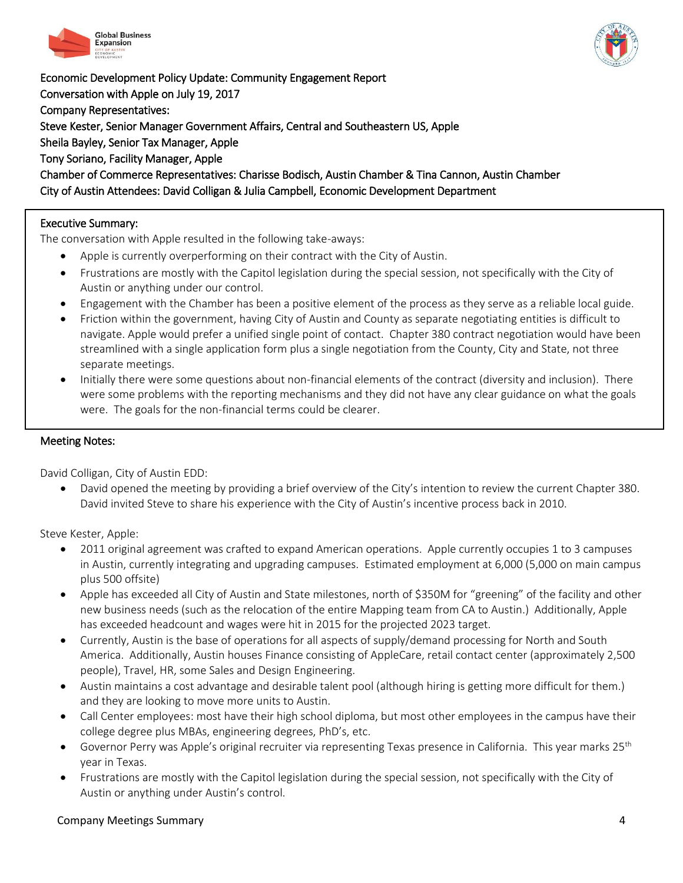



Economic Development Policy Update: Community Engagement Report Conversation with Apple on July 19, 2017 Company Representatives: Steve Kester, Senior Manager Government Affairs, Central and Southeastern US, Apple Sheila Bayley, Senior Tax Manager, Apple Tony Soriano, Facility Manager, Apple Chamber of Commerce Representatives: Charisse Bodisch, Austin Chamber & Tina Cannon, Austin Chamber City of Austin Attendees: David Colligan & Julia Campbell, Economic Development Department

# Executive Summary:

1

The conversation with Apple resulted in the following take-aways:

- Apple is currently overperforming on their contract with the City of Austin.
- Frustrations are mostly with the Capitol legislation during the special session, not specifically with the City of Austin or anything under our control.
- Engagement with the Chamber has been a positive element of the process as they serve as a reliable local guide.
- Friction within the government, having City of Austin and County as separate negotiating entities is difficult to navigate. Apple would prefer a unified single point of contact. Chapter 380 contract negotiation would have been streamlined with a single application form plus a single negotiation from the County, City and State, not three separate meetings.
- Initially there were some questions about non-financial elements of the contract (diversity and inclusion). There were some problems with the reporting mechanisms and they did not have any clear guidance on what the goals were. The goals for the non-financial terms could be clearer.

## Meeting Notes:

David Colligan, City of Austin EDD:

 David opened the meeting by providing a brief overview of the City's intention to review the current Chapter 380. David invited Steve to share his experience with the City of Austin's incentive process back in 2010.

Steve Kester, Apple:

- 2011 original agreement was crafted to expand American operations. Apple currently occupies 1 to 3 campuses in Austin, currently integrating and upgrading campuses. Estimated employment at 6,000 (5,000 on main campus plus 500 offsite)
- Apple has exceeded all City of Austin and State milestones, north of \$350M for "greening" of the facility and other new business needs (such as the relocation of the entire Mapping team from CA to Austin.) Additionally, Apple has exceeded headcount and wages were hit in 2015 for the projected 2023 target.
- Currently, Austin is the base of operations for all aspects of supply/demand processing for North and South America. Additionally, Austin houses Finance consisting of AppleCare, retail contact center (approximately 2,500 people), Travel, HR, some Sales and Design Engineering.
- Austin maintains a cost advantage and desirable talent pool (although hiring is getting more difficult for them.) and they are looking to move more units to Austin.
- Call Center employees: most have their high school diploma, but most other employees in the campus have their college degree plus MBAs, engineering degrees, PhD's, etc.
- Governor Perry was Apple's original recruiter via representing Texas presence in California. This year marks 25<sup>th</sup> year in Texas.
- Frustrations are mostly with the Capitol legislation during the special session, not specifically with the City of Austin or anything under Austin's control.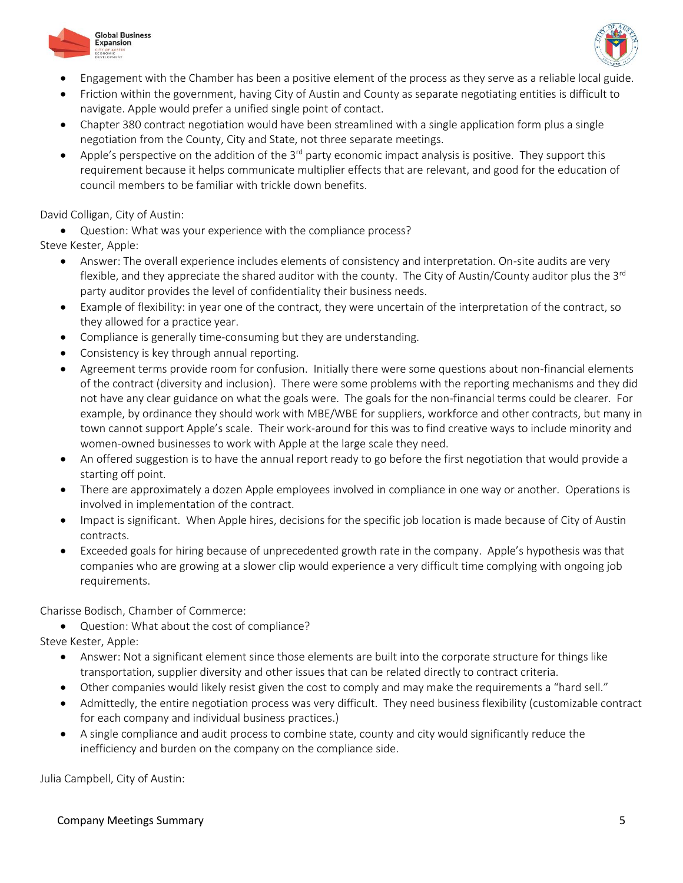



- Engagement with the Chamber has been a positive element of the process as they serve as a reliable local guide.
- Friction within the government, having City of Austin and County as separate negotiating entities is difficult to navigate. Apple would prefer a unified single point of contact.
- Chapter 380 contract negotiation would have been streamlined with a single application form plus a single negotiation from the County, City and State, not three separate meetings.
- Apple's perspective on the addition of the  $3<sup>rd</sup>$  party economic impact analysis is positive. They support this requirement because it helps communicate multiplier effects that are relevant, and good for the education of council members to be familiar with trickle down benefits.

David Colligan, City of Austin:

 Question: What was your experience with the compliance process? Steve Kester, Apple:

- Answer: The overall experience includes elements of consistency and interpretation. On-site audits are very flexible, and they appreciate the shared auditor with the county. The City of Austin/County auditor plus the  $3^{rd}$ party auditor provides the level of confidentiality their business needs.
- Example of flexibility: in year one of the contract, they were uncertain of the interpretation of the contract, so they allowed for a practice year.
- Compliance is generally time-consuming but they are understanding.
- Consistency is key through annual reporting.
- Agreement terms provide room for confusion. Initially there were some questions about non-financial elements of the contract (diversity and inclusion). There were some problems with the reporting mechanisms and they did not have any clear guidance on what the goals were. The goals for the non-financial terms could be clearer. For example, by ordinance they should work with MBE/WBE for suppliers, workforce and other contracts, but many in town cannot support Apple's scale. Their work-around for this was to find creative ways to include minority and women-owned businesses to work with Apple at the large scale they need.
- An offered suggestion is to have the annual report ready to go before the first negotiation that would provide a starting off point.
- There are approximately a dozen Apple employees involved in compliance in one way or another. Operations is involved in implementation of the contract.
- Impact is significant. When Apple hires, decisions for the specific job location is made because of City of Austin contracts.
- Exceeded goals for hiring because of unprecedented growth rate in the company. Apple's hypothesis was that companies who are growing at a slower clip would experience a very difficult time complying with ongoing job requirements.

Charisse Bodisch, Chamber of Commerce:

Question: What about the cost of compliance?

Steve Kester, Apple:

- Answer: Not a significant element since those elements are built into the corporate structure for things like transportation, supplier diversity and other issues that can be related directly to contract criteria.
- Other companies would likely resist given the cost to comply and may make the requirements a "hard sell."
- Admittedly, the entire negotiation process was very difficult. They need business flexibility (customizable contract for each company and individual business practices.)
- A single compliance and audit process to combine state, county and city would significantly reduce the inefficiency and burden on the company on the compliance side.

Julia Campbell, City of Austin: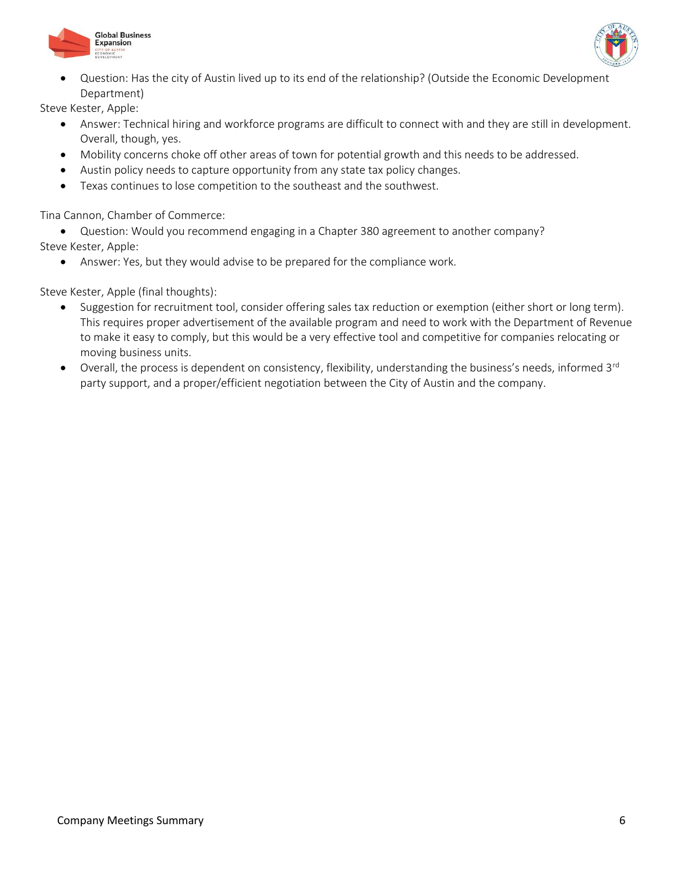



 Question: Has the city of Austin lived up to its end of the relationship? (Outside the Economic Development Department)

Steve Kester, Apple:

- Answer: Technical hiring and workforce programs are difficult to connect with and they are still in development. Overall, though, yes.
- Mobility concerns choke off other areas of town for potential growth and this needs to be addressed.
- Austin policy needs to capture opportunity from any state tax policy changes.
- Texas continues to lose competition to the southeast and the southwest.

Tina Cannon, Chamber of Commerce:

 Question: Would you recommend engaging in a Chapter 380 agreement to another company? Steve Kester, Apple:

Answer: Yes, but they would advise to be prepared for the compliance work.

Steve Kester, Apple (final thoughts):

- Suggestion for recruitment tool, consider offering sales tax reduction or exemption (either short or long term). This requires proper advertisement of the available program and need to work with the Department of Revenue to make it easy to comply, but this would be a very effective tool and competitive for companies relocating or moving business units.
- $\bullet$  Overall, the process is dependent on consistency, flexibility, understanding the business's needs, informed 3<sup>rd</sup> party support, and a proper/efficient negotiation between the City of Austin and the company.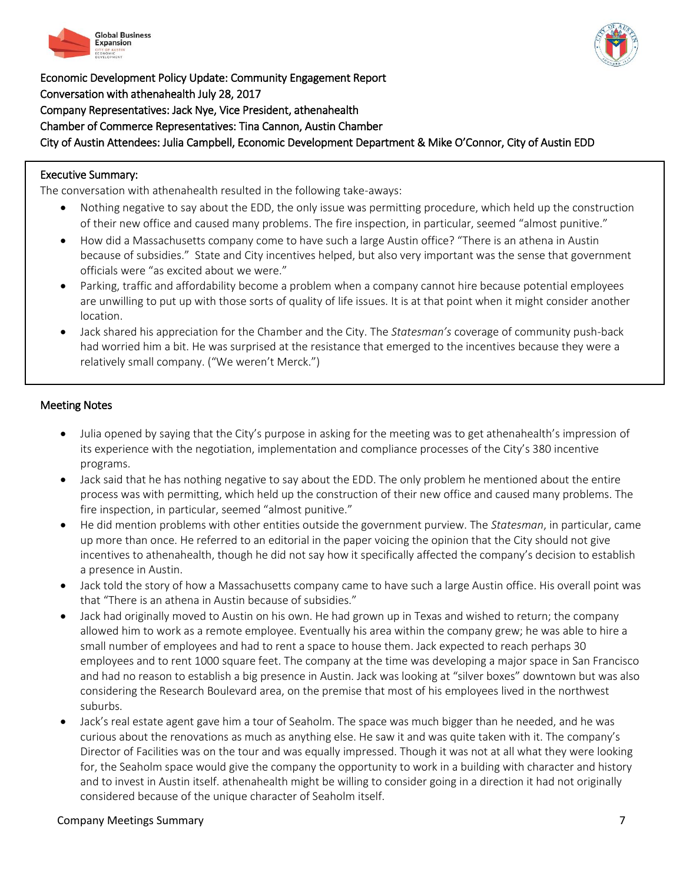

Economic Development Policy Update: Community Engagement Report Conversation with athenahealth July 28, 2017 Company Representatives: Jack Nye, Vice President, athenahealth Chamber of Commerce Representatives: Tina Cannon, Austin Chamber City of Austin Attendees: Julia Campbell, Economic Development Department & Mike O'Connor, City of Austin EDD

# Executive Summary:

.

The conversation with athenahealth resulted in the following take-aways:

- Nothing negative to say about the EDD, the only issue was permitting procedure, which held up the construction of their new office and caused many problems. The fire inspection, in particular, seemed "almost punitive."
- How did a Massachusetts company come to have such a large Austin office? "There is an athena in Austin because of subsidies." State and City incentives helped, but also very important was the sense that government officials were "as excited about we were."
- Parking, traffic and affordability become a problem when a company cannot hire because potential employees are unwilling to put up with those sorts of quality of life issues. It is at that point when it might consider another location.
- Jack shared his appreciation for the Chamber and the City. The *Statesman's* coverage of community push-back had worried him a bit. He was surprised at the resistance that emerged to the incentives because they were a relatively small company. ("We weren't Merck.")

# Meeting Notes

- Julia opened by saying that the City's purpose in asking for the meeting was to get athenahealth's impression of its experience with the negotiation, implementation and compliance processes of the City's 380 incentive programs.
- Jack said that he has nothing negative to say about the EDD. The only problem he mentioned about the entire process was with permitting, which held up the construction of their new office and caused many problems. The fire inspection, in particular, seemed "almost punitive."
- He did mention problems with other entities outside the government purview. The *Statesman*, in particular, came up more than once. He referred to an editorial in the paper voicing the opinion that the City should not give incentives to athenahealth, though he did not say how it specifically affected the company's decision to establish a presence in Austin.
- Jack told the story of how a Massachusetts company came to have such a large Austin office. His overall point was that "There is an athena in Austin because of subsidies."
- Jack had originally moved to Austin on his own. He had grown up in Texas and wished to return; the company allowed him to work as a remote employee. Eventually his area within the company grew; he was able to hire a small number of employees and had to rent a space to house them. Jack expected to reach perhaps 30 employees and to rent 1000 square feet. The company at the time was developing a major space in San Francisco and had no reason to establish a big presence in Austin. Jack was looking at "silver boxes" downtown but was also considering the Research Boulevard area, on the premise that most of his employees lived in the northwest suburbs.
- Jack's real estate agent gave him a tour of Seaholm. The space was much bigger than he needed, and he was curious about the renovations as much as anything else. He saw it and was quite taken with it. The company's Director of Facilities was on the tour and was equally impressed. Though it was not at all what they were looking for, the Seaholm space would give the company the opportunity to work in a building with character and history and to invest in Austin itself. athenahealth might be willing to consider going in a direction it had not originally considered because of the unique character of Seaholm itself.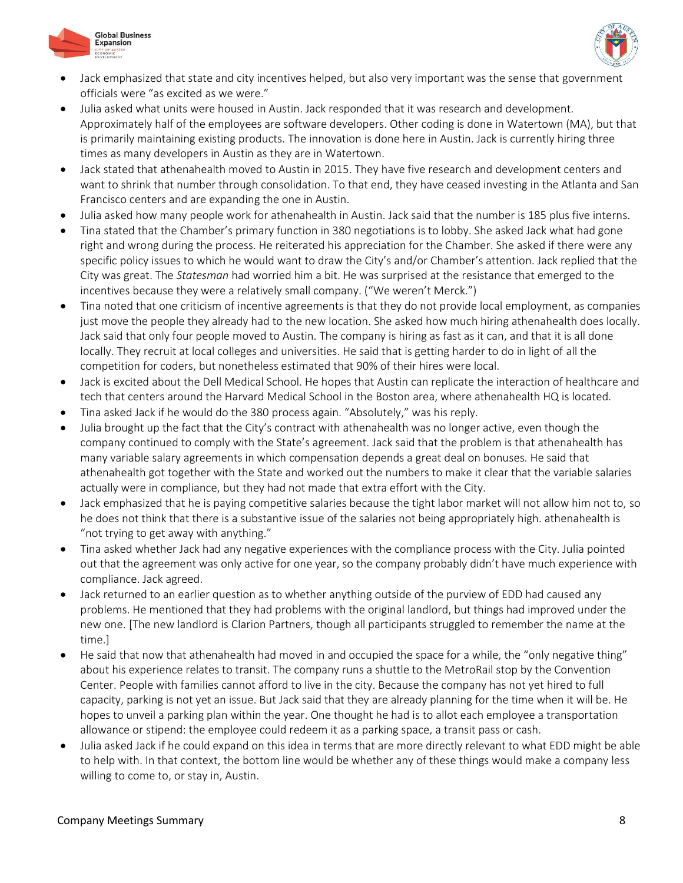



- Jack emphasized that state and city incentives helped, but also very important was the sense that government officials were "as excited as we were."
- Julia asked what units were housed in Austin. Jack responded that it was research and development. Approximately half of the employees are software developers. Other coding is done in Watertown (MA), but that is primarily maintaining existing products. The innovation is done here in Austin. Jack is currently hiring three times as many developers in Austin as they are in Watertown.
- Jack stated that athenahealth moved to Austin in 2015. They have five research and development centers and want to shrink that number through consolidation. To that end, they have ceased investing in the Atlanta and San Francisco centers and are expanding the one in Austin.
- Julia asked how many people work for athenahealth in Austin. Jack said that the number is 185 plus five interns.
- Tina stated that the Chamber's primary function in 380 negotiations is to lobby. She asked Jack what had gone right and wrong during the process. He reiterated his appreciation for the Chamber. She asked if there were any specific policy issues to which he would want to draw the City's and/or Chamber's attention. Jack replied that the City was great. The *Statesman* had worried him a bit. He was surprised at the resistance that emerged to the incentives because they were a relatively small company. ("We weren't Merck.")
- Tina noted that one criticism of incentive agreements is that they do not provide local employment, as companies just move the people they already had to the new location. She asked how much hiring athenahealth does locally. Jack said that only four people moved to Austin. The company is hiring as fast as it can, and that it is all done locally. They recruit at local colleges and universities. He said that is getting harder to do in light of all the competition for coders, but nonetheless estimated that 90% of their hires were local.
- Jack is excited about the Dell Medical School. He hopes that Austin can replicate the interaction of healthcare and tech that centers around the Harvard Medical School in the Boston area, where athenahealth HQ is located.
- Tina asked Jack if he would do the 380 process again. "Absolutely," was his reply.
- Julia brought up the fact that the City's contract with athenahealth was no longer active, even though the company continued to comply with the State's agreement. Jack said that the problem is that athenahealth has many variable salary agreements in which compensation depends a great deal on bonuses. He said that athenahealth got together with the State and worked out the numbers to make it clear that the variable salaries actually were in compliance, but they had not made that extra effort with the City.
- Jack emphasized that he is paying competitive salaries because the tight labor market will not allow him not to, so he does not think that there is a substantive issue of the salaries not being appropriately high. athenahealth is "not trying to get away with anything."
- Tina asked whether Jack had any negative experiences with the compliance process with the City. Julia pointed out that the agreement was only active for one year, so the company probably didn't have much experience with compliance. Jack agreed.
- Jack returned to an earlier question as to whether anything outside of the purview of EDD had caused any problems. He mentioned that they had problems with the original landlord, but things had improved under the new one. [The new landlord is Clarion Partners, though all participants struggled to remember the name at the time.]
- He said that now that athenahealth had moved in and occupied the space for a while, the "only negative thing" about his experience relates to transit. The company runs a shuttle to the MetroRail stop by the Convention Center. People with families cannot afford to live in the city. Because the company has not yet hired to full capacity, parking is not yet an issue. But Jack said that they are already planning for the time when it will be. He hopes to unveil a parking plan within the year. One thought he had is to allot each employee a transportation allowance or stipend: the employee could redeem it as a parking space, a transit pass or cash.
- Julia asked Jack if he could expand on this idea in terms that are more directly relevant to what EDD might be able to help with. In that context, the bottom line would be whether any of these things would make a company less willing to come to, or stay in, Austin.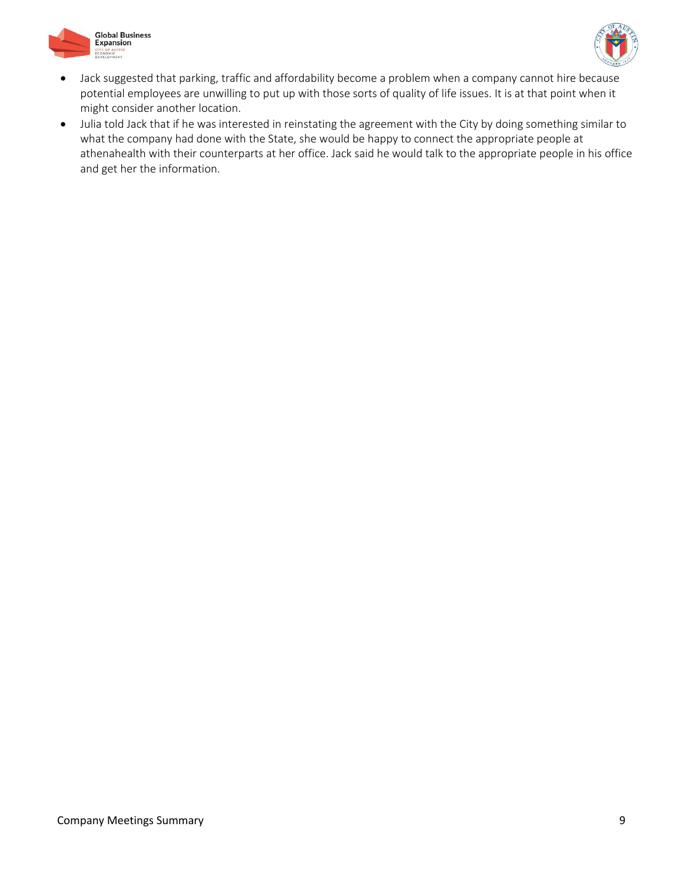



- Jack suggested that parking, traffic and affordability become a problem when a company cannot hire because potential employees are unwilling to put up with those sorts of quality of life issues. It is at that point when it might consider another location.
- Julia told Jack that if he was interested in reinstating the agreement with the City by doing something similar to what the company had done with the State, she would be happy to connect the appropriate people at athenahealth with their counterparts at her office. Jack said he would talk to the appropriate people in his office and get her the information.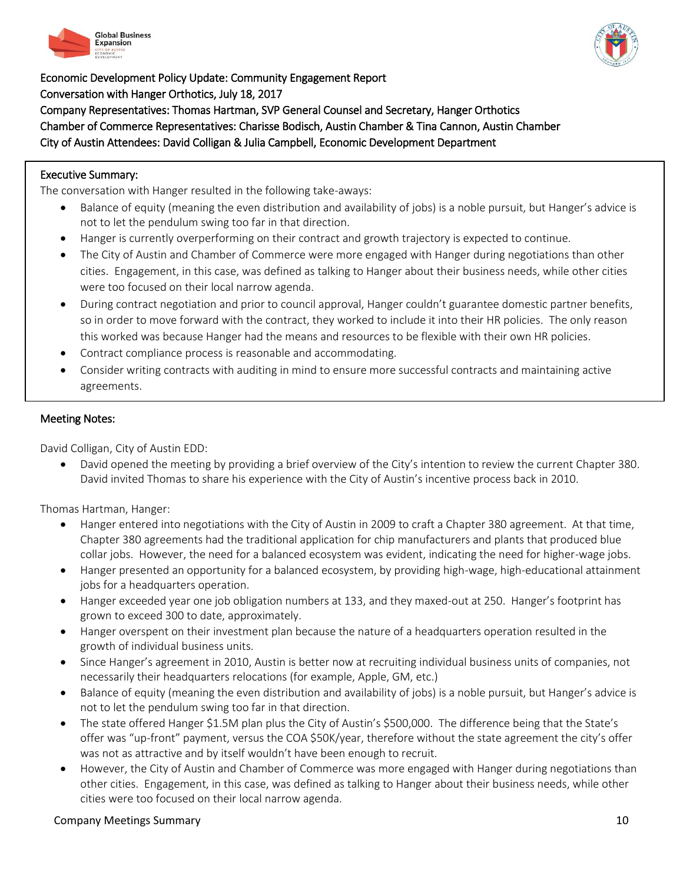



Economic Development Policy Update: Community Engagement Report Conversation with Hanger Orthotics, July 18, 2017 Company Representatives: Thomas Hartman, SVP General Counsel and Secretary, Hanger Orthotics Chamber of Commerce Representatives: Charisse Bodisch, Austin Chamber & Tina Cannon, Austin Chamber City of Austin Attendees: David Colligan & Julia Campbell, Economic Development Department

# Executive Summary:

.

The conversation with Hanger resulted in the following take-aways:

- Balance of equity (meaning the even distribution and availability of jobs) is a noble pursuit, but Hanger's advice is not to let the pendulum swing too far in that direction.
- Hanger is currently overperforming on their contract and growth trajectory is expected to continue.
- The City of Austin and Chamber of Commerce were more engaged with Hanger during negotiations than other cities. Engagement, in this case, was defined as talking to Hanger about their business needs, while other cities were too focused on their local narrow agenda.
- During contract negotiation and prior to council approval, Hanger couldn't guarantee domestic partner benefits, so in order to move forward with the contract, they worked to include it into their HR policies. The only reason this worked was because Hanger had the means and resources to be flexible with their own HR policies.
- Contract compliance process is reasonable and accommodating.
- Consider writing contracts with auditing in mind to ensure more successful contracts and maintaining active agreements.

## Meeting Notes:

1

David Colligan, City of Austin EDD:

 David opened the meeting by providing a brief overview of the City's intention to review the current Chapter 380. David invited Thomas to share his experience with the City of Austin's incentive process back in 2010.

Thomas Hartman, Hanger:

- Hanger entered into negotiations with the City of Austin in 2009 to craft a Chapter 380 agreement. At that time, Chapter 380 agreements had the traditional application for chip manufacturers and plants that produced blue collar jobs. However, the need for a balanced ecosystem was evident, indicating the need for higher-wage jobs.
- Hanger presented an opportunity for a balanced ecosystem, by providing high-wage, high-educational attainment jobs for a headquarters operation.
- Hanger exceeded year one job obligation numbers at 133, and they maxed-out at 250. Hanger's footprint has grown to exceed 300 to date, approximately.
- Hanger overspent on their investment plan because the nature of a headquarters operation resulted in the growth of individual business units.
- Since Hanger's agreement in 2010, Austin is better now at recruiting individual business units of companies, not necessarily their headquarters relocations (for example, Apple, GM, etc.)
- Balance of equity (meaning the even distribution and availability of jobs) is a noble pursuit, but Hanger's advice is not to let the pendulum swing too far in that direction.
- The state offered Hanger \$1.5M plan plus the City of Austin's \$500,000. The difference being that the State's offer was "up-front" payment, versus the COA \$50K/year, therefore without the state agreement the city's offer was not as attractive and by itself wouldn't have been enough to recruit.
- However, the City of Austin and Chamber of Commerce was more engaged with Hanger during negotiations than other cities. Engagement, in this case, was defined as talking to Hanger about their business needs, while other cities were too focused on their local narrow agenda.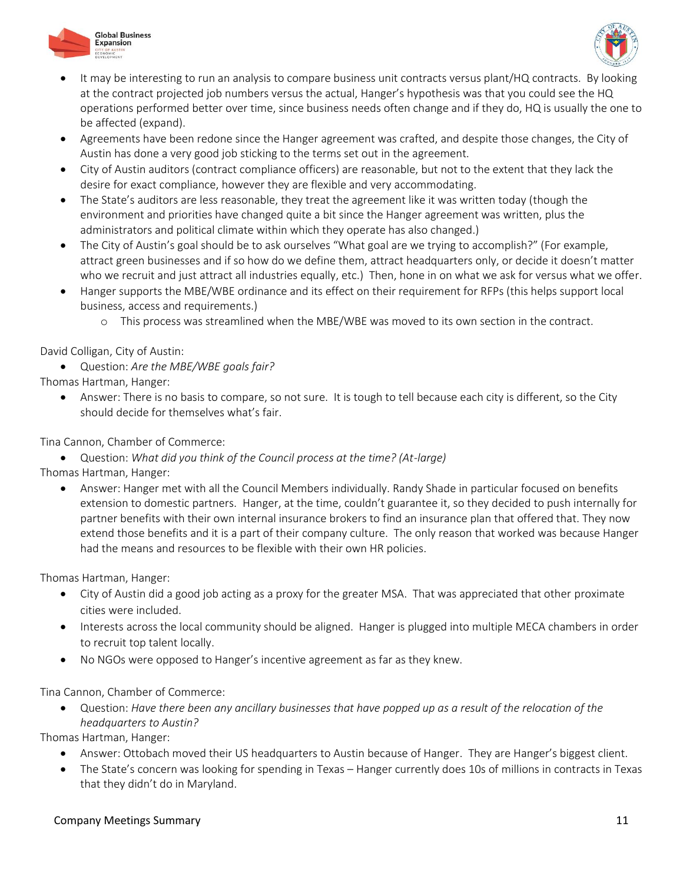



- It may be interesting to run an analysis to compare business unit contracts versus plant/HQ contracts. By looking at the contract projected job numbers versus the actual, Hanger's hypothesis was that you could see the HQ operations performed better over time, since business needs often change and if they do, HQ is usually the one to be affected (expand).
- Agreements have been redone since the Hanger agreement was crafted, and despite those changes, the City of Austin has done a very good job sticking to the terms set out in the agreement.
- City of Austin auditors (contract compliance officers) are reasonable, but not to the extent that they lack the desire for exact compliance, however they are flexible and very accommodating.
- The State's auditors are less reasonable, they treat the agreement like it was written today (though the environment and priorities have changed quite a bit since the Hanger agreement was written, plus the administrators and political climate within which they operate has also changed.)
- The City of Austin's goal should be to ask ourselves "What goal are we trying to accomplish?" (For example, attract green businesses and if so how do we define them, attract headquarters only, or decide it doesn't matter who we recruit and just attract all industries equally, etc.) Then, hone in on what we ask for versus what we offer.
- Hanger supports the MBE/WBE ordinance and its effect on their requirement for RFPs (this helps support local business, access and requirements.)
	- o This process was streamlined when the MBE/WBE was moved to its own section in the contract.

David Colligan, City of Austin:

Question: *Are the MBE/WBE goals fair?*

Thomas Hartman, Hanger:

 Answer: There is no basis to compare, so not sure. It is tough to tell because each city is different, so the City should decide for themselves what's fair.

Tina Cannon, Chamber of Commerce:

Question: *What did you think of the Council process at the time? (At-large)*

Thomas Hartman, Hanger:

 Answer: Hanger met with all the Council Members individually. Randy Shade in particular focused on benefits extension to domestic partners. Hanger, at the time, couldn't guarantee it, so they decided to push internally for partner benefits with their own internal insurance brokers to find an insurance plan that offered that. They now extend those benefits and it is a part of their company culture. The only reason that worked was because Hanger had the means and resources to be flexible with their own HR policies.

Thomas Hartman, Hanger:

- City of Austin did a good job acting as a proxy for the greater MSA. That was appreciated that other proximate cities were included.
- Interests across the local community should be aligned. Hanger is plugged into multiple MECA chambers in order to recruit top talent locally.
- No NGOs were opposed to Hanger's incentive agreement as far as they knew.

Tina Cannon, Chamber of Commerce:

 Question: *Have there been any ancillary businesses that have popped up as a result of the relocation of the headquarters to Austin?*

Thomas Hartman, Hanger:

- Answer: Ottobach moved their US headquarters to Austin because of Hanger. They are Hanger's biggest client.
- The State's concern was looking for spending in Texas Hanger currently does 10s of millions in contracts in Texas that they didn't do in Maryland.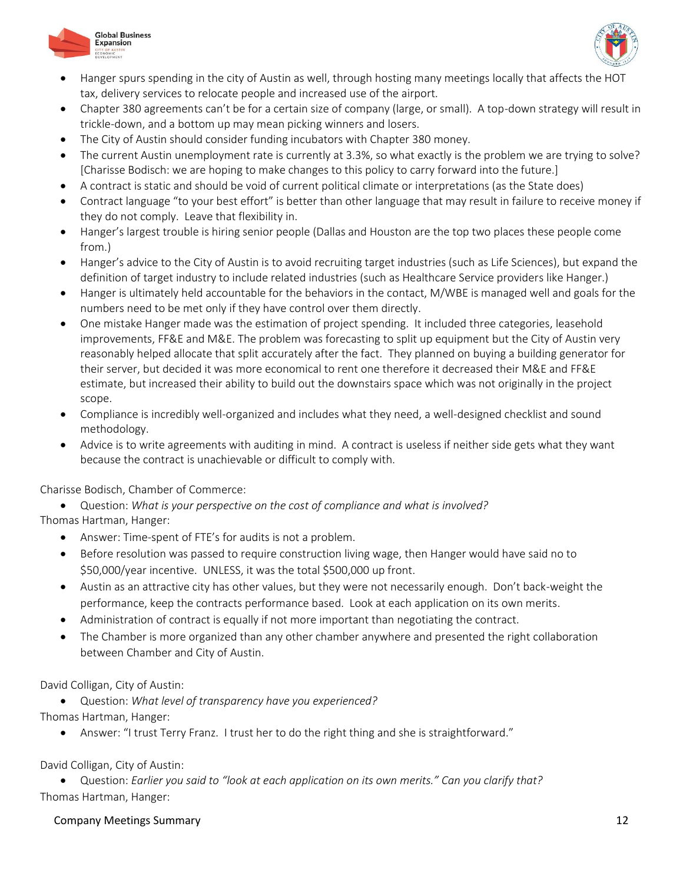



- Hanger spurs spending in the city of Austin as well, through hosting many meetings locally that affects the HOT tax, delivery services to relocate people and increased use of the airport.
- Chapter 380 agreements can't be for a certain size of company (large, or small). A top-down strategy will result in trickle-down, and a bottom up may mean picking winners and losers.
- The City of Austin should consider funding incubators with Chapter 380 money.
- The current Austin unemployment rate is currently at 3.3%, so what exactly is the problem we are trying to solve? [Charisse Bodisch: we are hoping to make changes to this policy to carry forward into the future.]
- A contract is static and should be void of current political climate or interpretations (as the State does)
- Contract language "to your best effort" is better than other language that may result in failure to receive money if they do not comply. Leave that flexibility in.
- Hanger's largest trouble is hiring senior people (Dallas and Houston are the top two places these people come from.)
- Hanger's advice to the City of Austin is to avoid recruiting target industries (such as Life Sciences), but expand the definition of target industry to include related industries (such as Healthcare Service providers like Hanger.)
- Hanger is ultimately held accountable for the behaviors in the contact, M/WBE is managed well and goals for the numbers need to be met only if they have control over them directly.
- One mistake Hanger made was the estimation of project spending. It included three categories, leasehold improvements, FF&E and M&E. The problem was forecasting to split up equipment but the City of Austin very reasonably helped allocate that split accurately after the fact. They planned on buying a building generator for their server, but decided it was more economical to rent one therefore it decreased their M&E and FF&E estimate, but increased their ability to build out the downstairs space which was not originally in the project scope.
- Compliance is incredibly well-organized and includes what they need, a well-designed checklist and sound methodology.
- Advice is to write agreements with auditing in mind. A contract is useless if neither side gets what they want because the contract is unachievable or difficult to comply with.

Charisse Bodisch, Chamber of Commerce:

Question: *What is your perspective on the cost of compliance and what is involved?*

Thomas Hartman, Hanger:

- Answer: Time-spent of FTE's for audits is not a problem.
- Before resolution was passed to require construction living wage, then Hanger would have said no to \$50,000/year incentive. UNLESS, it was the total \$500,000 up front.
- Austin as an attractive city has other values, but they were not necessarily enough. Don't back-weight the performance, keep the contracts performance based. Look at each application on its own merits.
- Administration of contract is equally if not more important than negotiating the contract.
- The Chamber is more organized than any other chamber anywhere and presented the right collaboration between Chamber and City of Austin.

David Colligan, City of Austin:

Question: *What level of transparency have you experienced?*

Thomas Hartman, Hanger:

Answer: "I trust Terry Franz. I trust her to do the right thing and she is straightforward."

David Colligan, City of Austin:

 Question: *Earlier you said to "look at each application on its own merits." Can you clarify that?* Thomas Hartman, Hanger: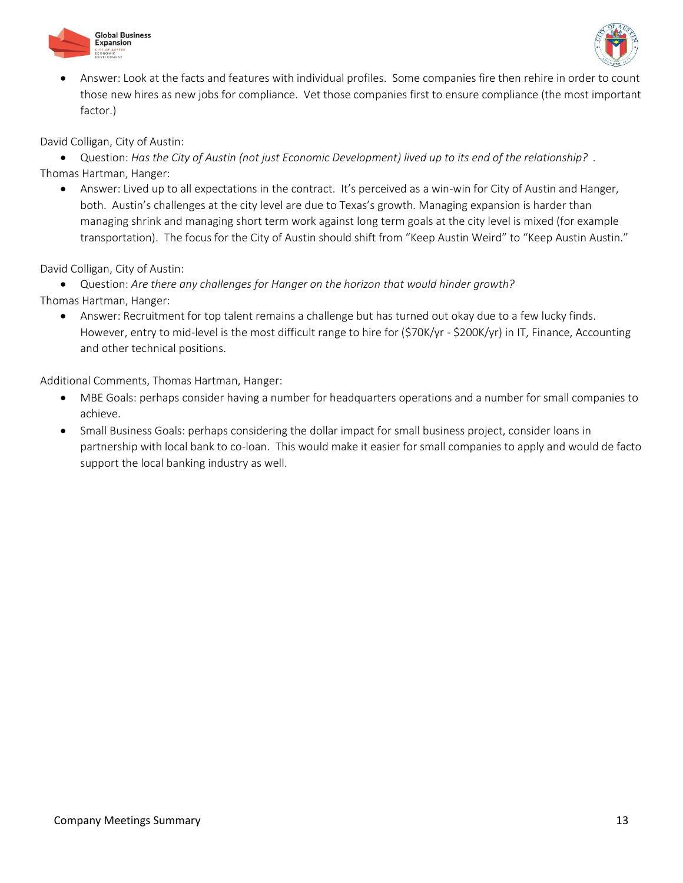



 Answer: Look at the facts and features with individual profiles. Some companies fire then rehire in order to count those new hires as new jobs for compliance. Vet those companies first to ensure compliance (the most important factor.)

David Colligan, City of Austin:

 Question: *Has the City of Austin (not just Economic Development) lived up to its end of the relationship? .* Thomas Hartman, Hanger:

 Answer: Lived up to all expectations in the contract. It's perceived as a win-win for City of Austin and Hanger, both. Austin's challenges at the city level are due to Texas's growth. Managing expansion is harder than managing shrink and managing short term work against long term goals at the city level is mixed (for example transportation). The focus for the City of Austin should shift from "Keep Austin Weird" to "Keep Austin Austin."

David Colligan, City of Austin:

 Question: *Are there any challenges for Hanger on the horizon that would hinder growth?* Thomas Hartman, Hanger:

 Answer: Recruitment for top talent remains a challenge but has turned out okay due to a few lucky finds. However, entry to mid-level is the most difficult range to hire for (\$70K/yr - \$200K/yr) in IT, Finance, Accounting and other technical positions.

Additional Comments, Thomas Hartman, Hanger:

- MBE Goals: perhaps consider having a number for headquarters operations and a number for small companies to achieve.
- Small Business Goals: perhaps considering the dollar impact for small business project, consider loans in partnership with local bank to co-loan. This would make it easier for small companies to apply and would de facto support the local banking industry as well.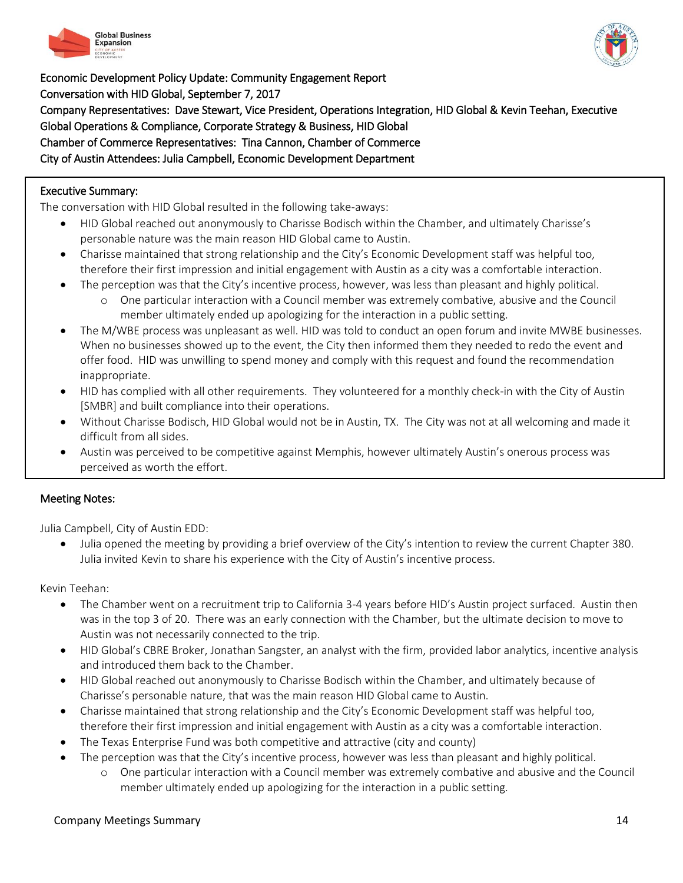



Economic Development Policy Update: Community Engagement Report Conversation with HID Global, September 7, 2017 Company Representatives: Dave Stewart, Vice President, Operations Integration, HID Global & Kevin Teehan, Executive Global Operations & Compliance, Corporate Strategy & Business, HID Global Chamber of Commerce Representatives: Tina Cannon, Chamber of Commerce City of Austin Attendees: Julia Campbell, Economic Development Department

# Executive Summary:

 $\overline{\phantom{0}}$ 

The conversation with HID Global resulted in the following take-aways:

- HID Global reached out anonymously to Charisse Bodisch within the Chamber, and ultimately Charisse's personable nature was the main reason HID Global came to Austin.
- Charisse maintained that strong relationship and the City's Economic Development staff was helpful too, therefore their first impression and initial engagement with Austin as a city was a comfortable interaction.
- The perception was that the City's incentive process, however, was less than pleasant and highly political.
	- o One particular interaction with a Council member was extremely combative, abusive and the Council member ultimately ended up apologizing for the interaction in a public setting.
- The M/WBE process was unpleasant as well. HID was told to conduct an open forum and invite MWBE businesses. When no businesses showed up to the event, the City then informed them they needed to redo the event and offer food. HID was unwilling to spend money and comply with this request and found the recommendation inappropriate.
- HID has complied with all other requirements. They volunteered for a monthly check-in with the City of Austin [SMBR] and built compliance into their operations.
- Without Charisse Bodisch, HID Global would not be in Austin, TX. The City was not at all welcoming and made it difficult from all sides.
- Austin was perceived to be competitive against Memphis, however ultimately Austin's onerous process was perceived as worth the effort.

## Meeting Notes:

Julia Campbell, City of Austin EDD:

 Julia opened the meeting by providing a brief overview of the City's intention to review the current Chapter 380. Julia invited Kevin to share his experience with the City of Austin's incentive process.

Kevin Teehan:

- The Chamber went on a recruitment trip to California 3-4 years before HID's Austin project surfaced. Austin then was in the top 3 of 20. There was an early connection with the Chamber, but the ultimate decision to move to Austin was not necessarily connected to the trip.
- HID Global's CBRE Broker, Jonathan Sangster, an analyst with the firm, provided labor analytics, incentive analysis and introduced them back to the Chamber.
- HID Global reached out anonymously to Charisse Bodisch within the Chamber, and ultimately because of Charisse's personable nature, that was the main reason HID Global came to Austin.
- Charisse maintained that strong relationship and the City's Economic Development staff was helpful too, therefore their first impression and initial engagement with Austin as a city was a comfortable interaction.
- The Texas Enterprise Fund was both competitive and attractive (city and county)
- The perception was that the City's incentive process, however was less than pleasant and highly political.
	- o One particular interaction with a Council member was extremely combative and abusive and the Council member ultimately ended up apologizing for the interaction in a public setting.